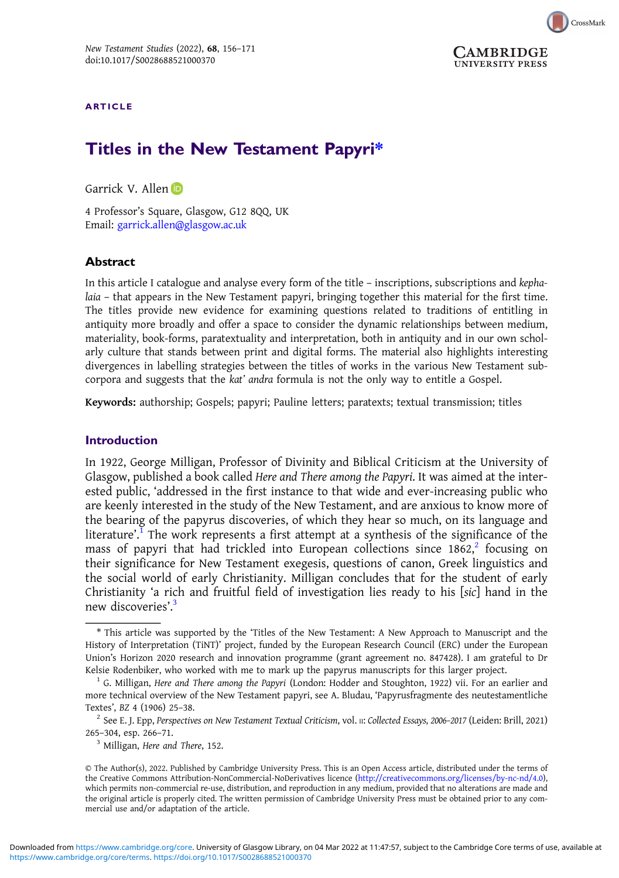

#### ARTICLE

# Titles in the New Testament Papyri\*

Garrick V. Allen D

4 Professor's Square, Glasgow, G12 8QQ, UK Email: [garrick.allen@glasgow.ac.uk](mailto:garrick.allen@glasgow.ac.uk)

#### **Abstract**

In this article I catalogue and analyse every form of the title – inscriptions, subscriptions and kephalaia – that appears in the New Testament papyri, bringing together this material for the first time. The titles provide new evidence for examining questions related to traditions of entitling in antiquity more broadly and offer a space to consider the dynamic relationships between medium, materiality, book-forms, paratextuality and interpretation, both in antiquity and in our own scholarly culture that stands between print and digital forms. The material also highlights interesting divergences in labelling strategies between the titles of works in the various New Testament subcorpora and suggests that the kat' andra formula is not the only way to entitle a Gospel.

Keywords: authorship; Gospels; papyri; Pauline letters; paratexts; textual transmission; titles

#### Introduction

In 1922, George Milligan, Professor of Divinity and Biblical Criticism at the University of Glasgow, published a book called Here and There among the Papyri. It was aimed at the interested public, 'addressed in the first instance to that wide and ever-increasing public who are keenly interested in the study of the New Testament, and are anxious to know more of the bearing of the papyrus discoveries, of which they hear so much, on its language and literature'.<sup>I</sup> The work represents a first attempt at a synthesis of the significance of the mass of papyri that had trickled into European collections since  $1862$ , focusing on their significance for New Testament exegesis, questions of canon, Greek linguistics and the social world of early Christianity. Milligan concludes that for the student of early Christianity 'a rich and fruitful field of investigation lies ready to his [sic] hand in the new discoveries'.<sup>3</sup>

<sup>\*</sup> This article was supported by the 'Titles of the New Testament: A New Approach to Manuscript and the History of Interpretation (TiNT)' project, funded by the European Research Council (ERC) under the European Union's Horizon 2020 research and innovation programme (grant agreement no. 847428). I am grateful to Dr Kelsie Rodenbiker, who worked with me to mark up the papyrus manuscripts for this larger project.<br><sup>1</sup> G. Milligan, Here and There among the Papyri (London: Hodder and Stoughton, 1922) vii. For an earlier and

more technical overview of the New Testament papyri, see A. Bludau, 'Papyrusfragmente des neutestamentliche Textes', BZ 4 (1906) 25–38.<br><sup>2</sup> See E. J. Epp, *Perspectives on New Testament Textual Criticism*, vol. II: *Collected Essays, 2006–2017* (Leiden: Brill, 2021)

<sup>265</sup>–304, esp. 266–71. <sup>3</sup> Milligan, Here and There, 152.

<sup>©</sup> The Author(s), 2022. Published by Cambridge University Press. This is an Open Access article, distributed under the terms of the Creative Commons Attribution-NonCommercial-NoDerivatives licence [\(http://creativecommons.org/licenses/by-nc-nd/4.0\)](http://creativecommons.org/licenses/by-nc-nd/4.0), which permits non-commercial re-use, distribution, and reproduction in any medium, provided that no alterations are made and the original article is properly cited. The written permission of Cambridge University Press must be obtained prior to any commercial use and/or adaptation of the article.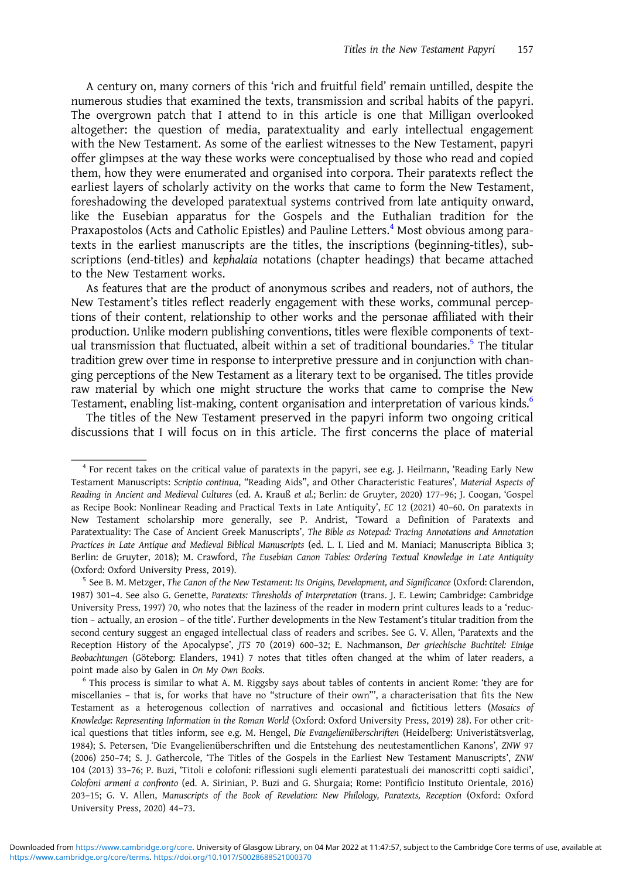A century on, many corners of this 'rich and fruitful field' remain untilled, despite the numerous studies that examined the texts, transmission and scribal habits of the papyri. The overgrown patch that I attend to in this article is one that Milligan overlooked altogether: the question of media, paratextuality and early intellectual engagement with the New Testament. As some of the earliest witnesses to the New Testament, papyri offer glimpses at the way these works were conceptualised by those who read and copied them, how they were enumerated and organised into corpora. Their paratexts reflect the earliest layers of scholarly activity on the works that came to form the New Testament, foreshadowing the developed paratextual systems contrived from late antiquity onward, like the Eusebian apparatus for the Gospels and the Euthalian tradition for the Praxapostolos (Acts and Catholic Epistles) and Pauline Letters.<sup>4</sup> Most obvious among paratexts in the earliest manuscripts are the titles, the inscriptions (beginning-titles), subscriptions (end-titles) and kephalaia notations (chapter headings) that became attached to the New Testament works.

As features that are the product of anonymous scribes and readers, not of authors, the New Testament's titles reflect readerly engagement with these works, communal perceptions of their content, relationship to other works and the personae affiliated with their production. Unlike modern publishing conventions, titles were flexible components of textual transmission that fluctuated, albeit within a set of traditional boundaries.<sup>5</sup> The titular tradition grew over time in response to interpretive pressure and in conjunction with changing perceptions of the New Testament as a literary text to be organised. The titles provide raw material by which one might structure the works that came to comprise the New Testament, enabling list-making, content organisation and interpretation of various kinds.<sup>6</sup>

The titles of the New Testament preserved in the papyri inform two ongoing critical discussions that I will focus on in this article. The first concerns the place of material

<sup>&</sup>lt;sup>4</sup> For recent takes on the critical value of paratexts in the papyri, see e.g. J. Heilmann, 'Reading Early New Testament Manuscripts: Scriptio continua, "Reading Aids", and Other Characteristic Features', Material Aspects of Reading in Ancient and Medieval Cultures (ed. A. Krauß et al.; Berlin: de Gruyter, 2020) 177–96; J. Coogan, 'Gospel as Recipe Book: Nonlinear Reading and Practical Texts in Late Antiquity', EC 12 (2021) 40–60. On paratexts in New Testament scholarship more generally, see P. Andrist, 'Toward a Definition of Paratexts and Paratextuality: The Case of Ancient Greek Manuscripts', The Bible as Notepad: Tracing Annotations and Annotation Practices in Late Antique and Medieval Biblical Manuscripts (ed. L. I. Lied and M. Maniaci; Manuscripta Biblica 3; Berlin: de Gruyter, 2018); M. Crawford, The Eusebian Canon Tables: Ordering Textual Knowledge in Late Antiquity (Oxford: Oxford University Press, 2019).<br><sup>5</sup> See B. M. Metzger, The Canon of the New Testament: Its Origins, Development, and Significance (Oxford: Clarendon,

<sup>1987) 301</sup>–4. See also G. Genette, Paratexts: Thresholds of Interpretation (trans. J. E. Lewin; Cambridge: Cambridge University Press, 1997) 70, who notes that the laziness of the reader in modern print cultures leads to a 'reduction – actually, an erosion – of the title'. Further developments in the New Testament's titular tradition from the second century suggest an engaged intellectual class of readers and scribes. See G. V. Allen, 'Paratexts and the Reception History of the Apocalypse', JTS 70 (2019) 600–32; E. Nachmanson, Der griechische Buchtitel: Einige Beobachtungen (Göteborg: Elanders, 1941) 7 notes that titles often changed at the whim of later readers, a point made also by Galen in On My Own Books.<br><sup>6</sup> This process is similar to what A. M. Riggsby says about tables of contents in ancient Rome: 'they are for

miscellanies – that is, for works that have no "structure of their own"', a characterisation that fits the New Testament as a heterogenous collection of narratives and occasional and fictitious letters (Mosaics of Knowledge: Representing Information in the Roman World (Oxford: Oxford University Press, 2019) 28). For other critical questions that titles inform, see e.g. M. Hengel, Die Evangelienüberschriften (Heidelberg: Univeristätsverlag, 1984); S. Petersen, 'Die Evangelienüberschriften und die Entstehung des neutestamentlichen Kanons', ZNW 97 (2006) 250–74; S. J. Gathercole, 'The Titles of the Gospels in the Earliest New Testament Manuscripts', ZNW 104 (2013) 33–76; P. Buzi, 'Titoli e colofoni: riflessioni sugli elementi paratestuali dei manoscritti copti saidici', Colofoni armeni a confronto (ed. A. Sirinian, P. Buzi and G. Shurgaia; Rome: Pontificio Instituto Orientale, 2016) 203–15; G. V. Allen, Manuscripts of the Book of Revelation: New Philology, Paratexts, Reception (Oxford: Oxford University Press, 2020) 44–73.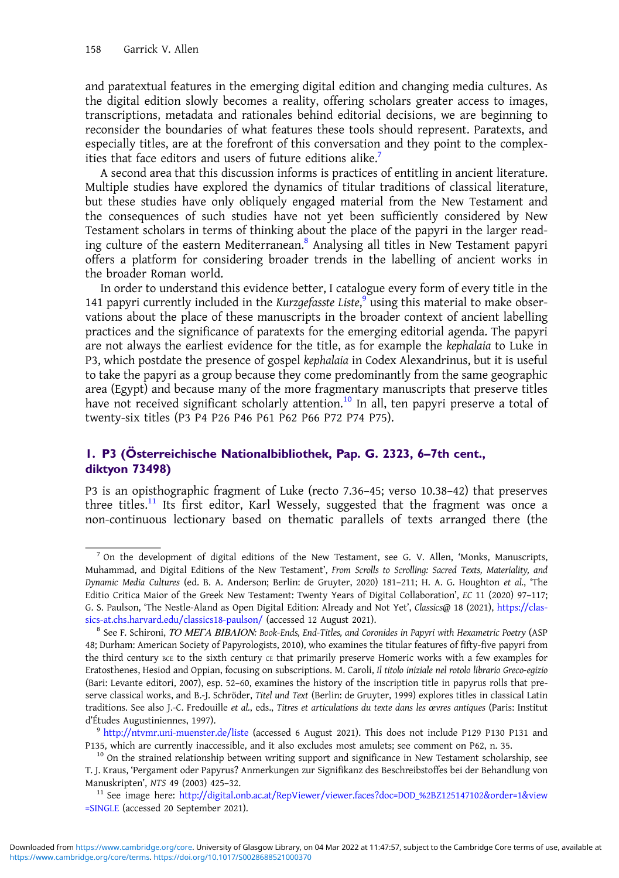and paratextual features in the emerging digital edition and changing media cultures. As the digital edition slowly becomes a reality, offering scholars greater access to images, transcriptions, metadata and rationales behind editorial decisions, we are beginning to reconsider the boundaries of what features these tools should represent. Paratexts, and especially titles, are at the forefront of this conversation and they point to the complexities that face editors and users of future editions alike.<sup>7</sup>

A second area that this discussion informs is practices of entitling in ancient literature. Multiple studies have explored the dynamics of titular traditions of classical literature, but these studies have only obliquely engaged material from the New Testament and the consequences of such studies have not yet been sufficiently considered by New Testament scholars in terms of thinking about the place of the papyri in the larger reading culture of the eastern Mediterranean.<sup>8</sup> Analysing all titles in New Testament papyri offers a platform for considering broader trends in the labelling of ancient works in the broader Roman world.

In order to understand this evidence better, I catalogue every form of every title in the 141 papyri currently included in the Kurzgefasste Liste,<sup>9</sup> using this material to make observations about the place of these manuscripts in the broader context of ancient labelling practices and the significance of paratexts for the emerging editorial agenda. The papyri are not always the earliest evidence for the title, as for example the kephalaia to Luke in P3, which postdate the presence of gospel kephalaia in Codex Alexandrinus, but it is useful to take the papyri as a group because they come predominantly from the same geographic area (Egypt) and because many of the more fragmentary manuscripts that preserve titles have not received significant scholarly attention.<sup>10</sup> In all, ten papyri preserve a total of twenty-six titles (P3 P4 P26 P46 P61 P62 P66 P72 P74 P75).

## 1. P3 (Österreichische Nationalbibliothek, Pap. G. 2323, 6–7th cent., diktyon 73498)

P3 is an opisthographic fragment of Luke (recto 7.36–45; verso 10.38–42) that preserves three titles.<sup>11</sup> Its first editor, Karl Wessely, suggested that the fragment was once a non-continuous lectionary based on thematic parallels of texts arranged there (the

 $<sup>7</sup>$  On the development of digital editions of the New Testament, see G. V. Allen, 'Monks, Manuscripts,</sup> Muhammad, and Digital Editions of the New Testament', From Scrolls to Scrolling: Sacred Texts, Materiality, and Dynamic Media Cultures (ed. B. A. Anderson; Berlin: de Gruyter, 2020) 181–211; H. A. G. Houghton et al., 'The Editio Critica Maior of the Greek New Testament: Twenty Years of Digital Collaboration', EC 11 (2020) 97–117; G. S. Paulson, 'The Nestle-Aland as Open Digital Edition: Already and Not Yet', Classics@ 18 (2021), [https://clas](https://classics-at.chs.harvard.edu/classics18-paulson/)[sics-at.chs.harvard.edu/classics18-paulson/](https://classics-at.chs.harvard.edu/classics18-paulson/) (accessed 12 August 2021).<br><sup>8</sup> See F. Schironi, *ΤΟ ΜΕΓΑ ΒΙΒΛΙΟΝ: Book-Ends, End-Titles, and Coronides in Papyri with Hexametric Poetry (ASP* 

<sup>48;</sup> Durham: American Society of Papyrologists, 2010), who examines the titular features of fifty-five papyri from the third century BCE to the sixth century  $c \in \text{that primarily preserve Homeric works with a few examples for }$ Eratosthenes, Hesiod and Oppian, focusing on subscriptions. M. Caroli, Il titolo iniziale nel rotolo librario Greco-egizio (Bari: Levante editori, 2007), esp. 52–60, examines the history of the inscription title in papyrus rolls that preserve classical works, and B.-J. Schröder, Titel und Text (Berlin: de Gruyter, 1999) explores titles in classical Latin traditions. See also J.-C. Fredouille et al., eds., Titres et articulations du texte dans les œvres antiques (Paris: Institut d'Études Augustiniennes, 1997).

<sup>9</sup> <http://ntvmr.uni-muenster.de/liste> (accessed 6 August 2021). This does not include P129 P130 P131 and P135, which are currently inaccessible, and it also excludes most amulets; see comment on P62, n. 35.<br><sup>10</sup> On the strained relationship between writing support and significance in New Testament scholarship, see

T. J. Kraus, 'Pergament oder Papyrus? Anmerkungen zur Signifikanz des Beschreibstoffes bei der Behandlung von

Manuskripten', NTS 49 (2003) 425–32. <sup>11</sup> See image here: [http://digital.onb.ac.at/RepViewer/viewer.faces?doc=DOD\\_%2BZ125147102&order=1&view](http://digital.onb.ac.at/RepViewer/viewer.faces?doc=DOD_%2BZ125147102&order=1&view=SINGLE) [=SINGLE](http://digital.onb.ac.at/RepViewer/viewer.faces?doc=DOD_%2BZ125147102&order=1&view=SINGLE) (accessed 20 September 2021).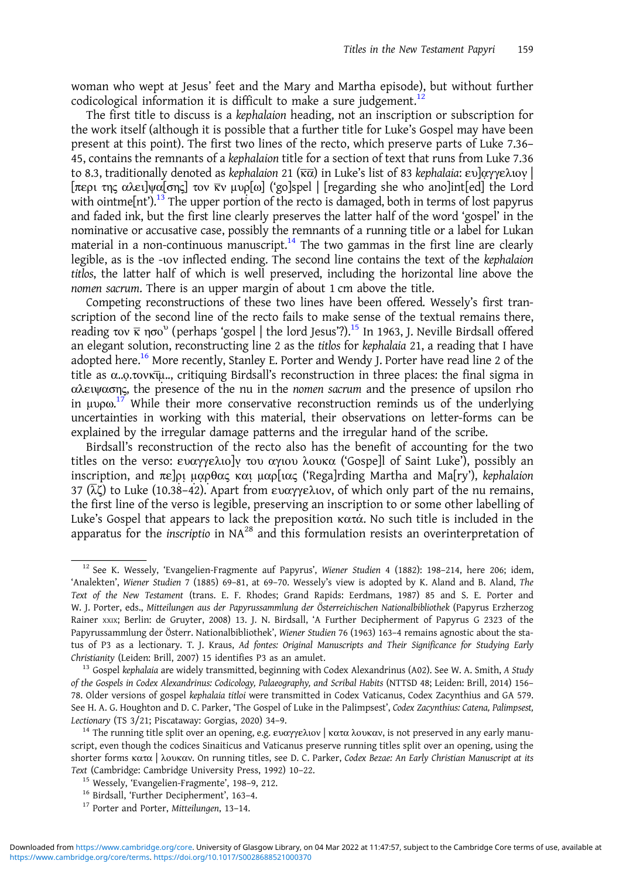woman who wept at Jesus' feet and the Mary and Martha episode), but without further codicological information it is difficult to make a sure judgement.<sup>12</sup>

The first title to discuss is a kephalaion heading, not an inscription or subscription for the work itself (although it is possible that a further title for Luke's Gospel may have been present at this point). The first two lines of the recto, which preserve parts of Luke 7.36– 45, contains the remnants of a kephalaion title for a section of text that runs from Luke 7.36 to 8.3, traditionally denoted as kephalaion 21 ( $\overline{\kappa}$ α) in Luke's list of 83 kephalaia: ευ]αγγελιον | [περι της αλει]ψα[σης] τον κ̄ν μυρ[ω] ('go]spel | [regarding she who ano]int[ed] the Lord with ointme $[\text{nt}']$ .<sup>13</sup> The upper portion of the recto is damaged, both in terms of lost papyrus and faded ink, but the first line clearly preserves the latter half of the word 'gospel' in the nominative or accusative case, possibly the remnants of a running title or a label for Lukan material in a non-continuous manuscript.<sup>14</sup> The two gammas in the first line are clearly legible, as is the -ιον inflected ending. The second line contains the text of the kephalaion titlos, the latter half of which is well preserved, including the horizontal line above the nomen sacrum. There is an upper margin of about 1 cm above the title.

Competing reconstructions of these two lines have been offered. Wessely's first transcription of the second line of the recto fails to make sense of the textual remains there, reading τον κ ησο<sup>υ</sup> (perhaps 'gospel | the lord Jesus'?).<sup>15</sup> In 1963, J. Neville Birdsall offered an elegant solution, reconstructing line 2 as the titlos for kephalaia 21, a reading that I have adopted here.<sup>16</sup> More recently, Stanley E. Porter and Wendy J. Porter have read line 2 of the title as α..o..τονκτμ.., critiquing Birdsall's reconstruction in three places: the final sigma in αλειψασης, the presence of the nu in the nomen sacrum and the presence of upsilon rho in μυρω.<sup>17</sup> While their more conservative reconstruction reminds us of the underlying uncertainties in working with this material, their observations on letter-forms can be explained by the irregular damage patterns and the irregular hand of the scribe.

Birdsall's reconstruction of the recto also has the benefit of accounting for the two titles on the verso: ευαγγελιο]ν του αγιου λουκα ('Gospe]l of Saint Luke'), possibly an inscription, and πε]ρι μαρθας και μαρ[ιας ('Rega]rding Martha and Ma[ry'), kephalaion 37 (λζ) to Luke (10.38–42). Apart from ευαγγελιον, of which only part of the nu remains, the first line of the verso is legible, preserving an inscription to or some other labelling of Luke's Gospel that appears to lack the preposition κατά. No such title is included in the apparatus for the *inscriptio* in  $NA^{28}$  and this formulation resists an overinterpretation of

<sup>&</sup>lt;sup>12</sup> See K. Wessely, 'Evangelien-Fragmente auf Papyrus', Wiener Studien 4 (1882): 198-214, here 206; idem, 'Analekten', Wiener Studien 7 (1885) 69–81, at 69–70. Wessely's view is adopted by K. Aland and B. Aland, The Text of the New Testament (trans. E. F. Rhodes; Grand Rapids: Eerdmans, 1987) 85 and S. E. Porter and W. J. Porter, eds., Mitteilungen aus der Papyrussammlung der Österreichischen Nationalbibliothek (Papyrus Erzherzog Rainer XXIX; Berlin: de Gruyter, 2008) 13. J. N. Birdsall, 'A Further Decipherment of Papyrus G 2323 of the Papyrussammlung der Österr. Nationalbibliothek', Wiener Studien 76 (1963) 163–4 remains agnostic about the status of P3 as a lectionary. T. J. Kraus, Ad fontes: Original Manuscripts and Their Significance for Studying Early Christianity (Leiden: Brill, 2007) 15 identifies P3 as an amulet.<br><sup>13</sup> Gospel kephalaia are widely transmitted, beginning with Codex Alexandrinus (A02). See W. A. Smith, A Study

of the Gospels in Codex Alexandrinus: Codicology, Palaeography, and Scribal Habits (NTTSD 48; Leiden: Brill, 2014) 156– 78. Older versions of gospel kephalaia titloi were transmitted in Codex Vaticanus, Codex Zacynthius and GA 579. See H. A. G. Houghton and D. C. Parker, 'The Gospel of Luke in the Palimpsest', Codex Zacynthius: Catena, Palimpsest, Lectionary (TS 3/21; Piscataway: Gorgias, 2020) 34–9.<br><sup>14</sup> The running title split over an opening, e.g. ευαγγελιον | κατα λουκαν, is not preserved in any early manu-

script, even though the codices Sinaiticus and Vaticanus preserve running titles split over an opening, using the shorter forms κατα | λουκαν. On running titles, see D. C. Parker, Codex Bezae: An Early Christian Manuscript at its Text (Cambridge: Cambridge University Press, 1992) 10–22.<br><sup>15</sup> Wessely, 'Evangelien-Fragmente', 198–9, 212.<br><sup>16</sup> Birdsall, 'Further Decipherment', 163–4.<br><sup>17</sup> Porter and Porter, Mitteilungen, 13–14.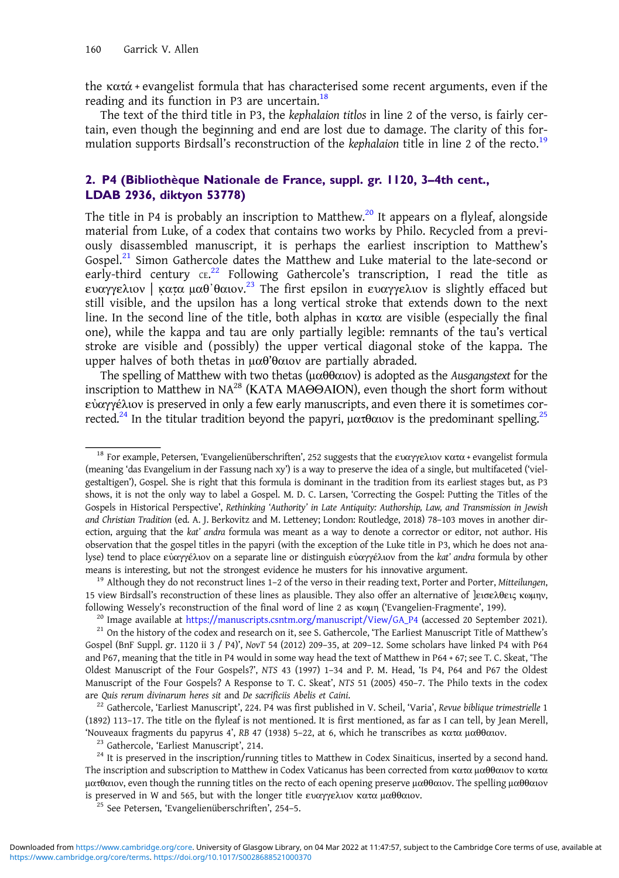the  $\kappa \alpha \tau \dot{\alpha}$  + evangelist formula that has characterised some recent arguments, even if the reading and its function in P3 are uncertain. $18$ 

The text of the third title in P3, the kephalaion titlos in line 2 of the verso, is fairly certain, even though the beginning and end are lost due to damage. The clarity of this formulation supports Birdsall's reconstruction of the kephalaion title in line 2 of the recto.<sup>19</sup>

## 2. P4 (Bibliothèque Nationale de France, suppl. gr. 1120, 3–4th cent., LDAB 2936, diktyon 53778)

The title in P4 is probably an inscription to Matthew.<sup>20</sup> It appears on a flyleaf, alongside material from Luke, of a codex that contains two works by Philo. Recycled from a previously disassembled manuscript, it is perhaps the earliest inscription to Matthew's Gospel. $^{21}$  Simon Gathercole dates the Matthew and Luke material to the late-second or early-third century ce.<sup>22</sup> Following Gathercole's transcription, I read the title as ευαγγελιον | κατα μαθ'θαιον.<sup>23</sup> The first epsilon in ευαγγελιον is slightly effaced but still visible, and the upsilon has a long vertical stroke that extends down to the next line. In the second line of the title, both alphas in κατα are visible (especially the final one), while the kappa and tau are only partially legible: remnants of the tau's vertical stroke are visible and (possibly) the upper vertical diagonal stoke of the kappa. The upper halves of both thetas in μαθ'θαιον are partially abraded.

The spelling of Matthew with two thetas (μαθθαιον) is adopted as the Ausgangstext for the inscription to Matthew in NA28 (ΚΑΤΑ ΜΑΘΘΑΙΟΝ), even though the short form without εὐαγγέλιον is preserved in only a few early manuscripts, and even there it is sometimes corrected.<sup>24</sup> In the titular tradition beyond the papyri, ματθαιον is the predominant spelling.<sup>25</sup>

(1892) 113–17. The title on the flyleaf is not mentioned. It is first mentioned, as far as I can tell, by Jean Merell, Shouveaux fragments du papyrus 4', RB 47 (1938) 5–22, at 6, which he transcribes as κατα μαθθαιον.<br><sup>23</sup> Gathercole, 'Earliest Manuscript', 214.<br><sup>24</sup> It is preserved in the inscription/running titles to Matthew in Codex S

<sup>&</sup>lt;sup>18</sup> For example, Petersen, 'Evangelienüberschriften', 252 suggests that the ευαγγελιον κατα + evangelist formula (meaning 'das Evangelium in der Fassung nach xy') is a way to preserve the idea of a single, but multifaceted ('vielgestaltigen'), Gospel. She is right that this formula is dominant in the tradition from its earliest stages but, as P3 shows, it is not the only way to label a Gospel. M. D. C. Larsen, 'Correcting the Gospel: Putting the Titles of the Gospels in Historical Perspective', Rethinking 'Authority' in Late Antiquity: Authorship, Law, and Transmission in Jewish and Christian Tradition (ed. A. J. Berkovitz and M. Letteney; London: Routledge, 2018) 78–103 moves in another direction, arguing that the kat' andra formula was meant as a way to denote a corrector or editor, not author. His observation that the gospel titles in the papyri (with the exception of the Luke title in P3, which he does not analyse) tend to place εὐαγγέλιον on a separate line or distinguish εὐαγγέλιον from the kat' andra formula by other means is interesting, but not the strongest evidence he musters for his innovative argument.<br><sup>19</sup> Although they do not reconstruct lines 1–2 of the verso in their reading text, Porter and Porter, Mitteilungen,

<sup>15</sup> view Birdsall's reconstruction of these lines as plausible. They also offer an alternative of ]εισελθεις κωμην, following Wessely's reconstruction of the final word of line 2 as  $\kappa$  (Evangelien-Fragmente', 199).<br><sup>20</sup> Image available at [https://manuscripts.csntm.org/manuscript/View/GA\\_P4](https://manuscripts.csntm.org/manuscript/View/GA_P4) (accessed 20 September 2021).<br><sup>21</sup> On the h

Gospel (BnF Suppl. gr. 1120 ii 3 / P4)', NovT 54 (2012) 209–35, at 209–12. Some scholars have linked P4 with P64 and P67, meaning that the title in P4 would in some way head the text of Matthew in P64 + 67; see T. C. Skeat, 'The Oldest Manuscript of the Four Gospels?', NTS 43 (1997) 1–34 and P. M. Head, 'Is P4, P64 and P67 the Oldest Manuscript of the Four Gospels? A Response to T. C. Skeat', NTS 51 (2005) 450–7. The Philo texts in the codex are Quis rerum divinarum heres sit and De sacrificiis Abelis et Caini.<br><sup>22</sup> Gathercole, 'Earliest Manuscript', 224. P4 was first published in V. Scheil, 'Varia', Revue biblique trimestrielle 1

The inscription and subscription to Matthew in Codex Vaticanus has been corrected from κατα μαθθαιον to κατα ματθαιον, even though the running titles on the recto of each opening preserve μαθθαιον. The spelling μαθθαιον is preserved in W and 565, but with the longer title ευαγγελιον κατα μαθθαιον. <sup>25</sup> See Petersen, 'Evangelienüberschriften', 254–5.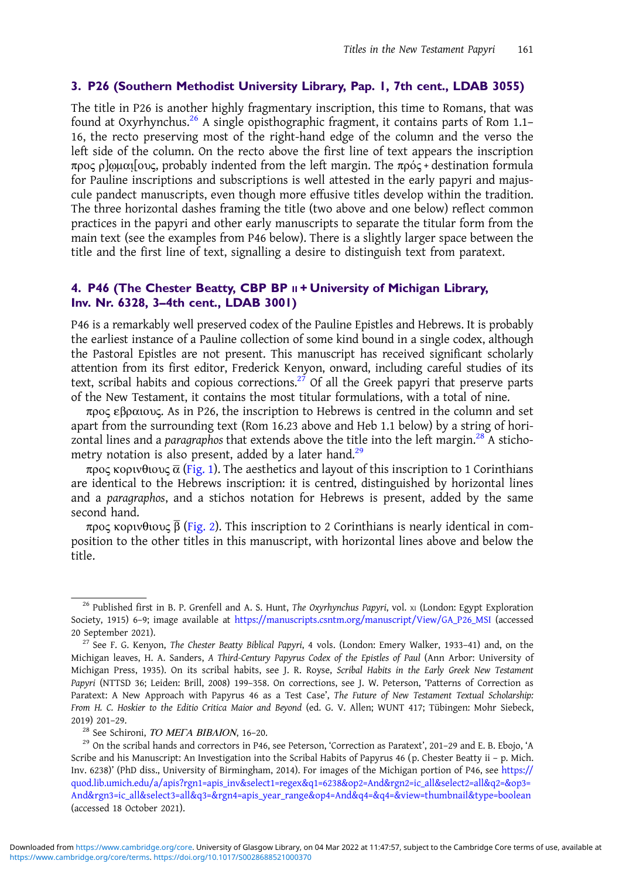#### 3. P26 (Southern Methodist University Library, Pap. 1, 7th cent., LDAB 3055)

The title in P26 is another highly fragmentary inscription, this time to Romans, that was found at Oxyrhynchus.<sup>26</sup> A single opisthographic fragment, it contains parts of Rom 1.1– 16, the recto preserving most of the right-hand edge of the column and the verso the left side of the column. On the recto above the first line of text appears the inscription προς ρ]ωμαι [ους, probably indented from the left margin. The πρός + destination formula for Pauline inscriptions and subscriptions is well attested in the early papyri and majuscule pandect manuscripts, even though more effusive titles develop within the tradition. The three horizontal dashes framing the title (two above and one below) reflect common practices in the papyri and other early manuscripts to separate the titular form from the main text (see the examples from P46 below). There is a slightly larger space between the title and the first line of text, signalling a desire to distinguish text from paratext.

## 4. P46 (The Chester Beatty, CBP BP  $\parallel$  + University of Michigan Library, Inv. Nr. 6328, 3–4th cent., LDAB 3001)

P46 is a remarkably well preserved codex of the Pauline Epistles and Hebrews. It is probably the earliest instance of a Pauline collection of some kind bound in a single codex, although the Pastoral Epistles are not present. This manuscript has received significant scholarly attention from its first editor, Frederick Kenyon, onward, including careful studies of its text, scribal habits and copious corrections.<sup>27</sup> Of all the Greek papyri that preserve parts of the New Testament, it contains the most titular formulations, with a total of nine.

προς εβραιους. As in P26, the inscription to Hebrews is centred in the column and set apart from the surrounding text (Rom 16.23 above and Heb 1.1 below) by a string of horizontal lines and a paragraphos that extends above the title into the left margin.<sup>28</sup> A stichometry notation is also present, added by a later hand.<sup>29</sup>

προς κορινθιους  $\bar{\alpha}$  ([Fig. 1](#page-6-0)). The aesthetics and layout of this inscription to 1 Corinthians are identical to the Hebrews inscription: it is centred, distinguished by horizontal lines and a paragraphos, and a stichos notation for Hebrews is present, added by the same second hand.

προς κορινθιους  $\bar{\beta}$  [\(Fig. 2](#page-6-0)). This inscription to 2 Corinthians is nearly identical in composition to the other titles in this manuscript, with horizontal lines above and below the title.

<sup>&</sup>lt;sup>26</sup> Published first in B. P. Grenfell and A. S. Hunt, The Oxyrhynchus Papyri, vol. x1 (London: Egypt Exploration Society, 1915) 6–9; image available at [https://manuscripts.csntm.org/manuscript/View/GA\\_P26\\_MSI](https://manuscripts.csntm.org/manuscript/View/GA_P26_MSI) (accessed 20 September 2021).

<sup>&</sup>lt;sup>27</sup> See F. G. Kenyon, The Chester Beatty Biblical Papyri, 4 vols. (London: Emery Walker, 1933–41) and, on the Michigan leaves, H. A. Sanders, A Third-Century Papyrus Codex of the Epistles of Paul (Ann Arbor: University of Michigan Press, 1935). On its scribal habits, see J. R. Royse, Scribal Habits in the Early Greek New Testament Papyri (NTTSD 36; Leiden: Brill, 2008) 199–358. On corrections, see J. W. Peterson, 'Patterns of Correction as Paratext: A New Approach with Papyrus 46 as a Test Case', The Future of New Testament Textual Scholarship: From H. C. Hoskier to the Editio Critica Maior and Beyond (ed. G. V. Allen; WUNT 417; Tübingen: Mohr Siebeck, 2019) 201-29.<br><sup>28</sup> See Schironi, *TO MEFA BIBAION*, 16-20.<br><sup>29</sup> On the scribal hands and correctors in P46, see Peterson, 'Correction as Paratext', 201-29 and E. B. Ebojo, 'A

Scribe and his Manuscript: An Investigation into the Scribal Habits of Papyrus 46 (p. Chester Beatty ii – p. Mich. Inv. 6238)' (PhD diss., University of Birmingham, 2014). For images of the Michigan portion of P46, see [https://](https://quod.lib.umich.edu/a/apis?rgn1=apis_inv&select1=regex&q1=6238&op2=And&rgn2=ic_all&select2=all&q2=&op3=And&rgn3=ic_all&select3=all&q3=&rgn4=apis_year_range&op4=And&q4=&q4=&view=thumbnail&type=boolean) [quod.lib.umich.edu/a/apis?rgn1=apis\\_inv&select1=regex&q1=6238&op2=And&rgn2=ic\\_all&select2=all&q2=&op3=](https://quod.lib.umich.edu/a/apis?rgn1=apis_inv&select1=regex&q1=6238&op2=And&rgn2=ic_all&select2=all&q2=&op3=And&rgn3=ic_all&select3=all&q3=&rgn4=apis_year_range&op4=And&q4=&q4=&view=thumbnail&type=boolean) [And&rgn3=ic\\_all&select3=all&q3=&rgn4=apis\\_year\\_range&op4=And&q4=&q4=&view=thumbnail&type=boolean](https://quod.lib.umich.edu/a/apis?rgn1=apis_inv&select1=regex&q1=6238&op2=And&rgn2=ic_all&select2=all&q2=&op3=And&rgn3=ic_all&select3=all&q3=&rgn4=apis_year_range&op4=And&q4=&q4=&view=thumbnail&type=boolean) (accessed 18 October 2021).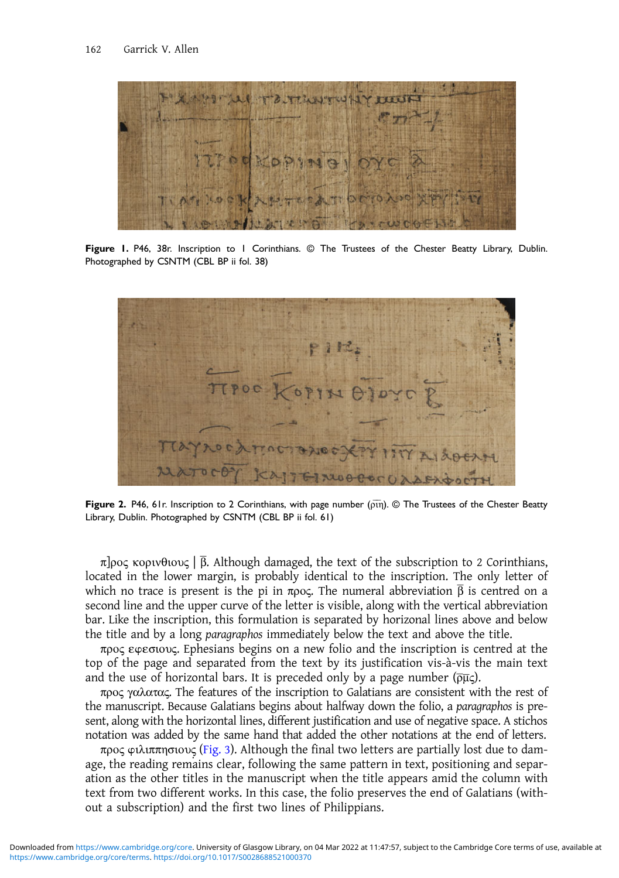<span id="page-6-0"></span>

Figure 1. P46, 38r. Inscription to 1 Corinthians. © The Trustees of the Chester Beatty Library, Dublin. Photographed by CSNTM (CBL BP ii fol. 38)



Figure 2. P46, 61r. Inscription to 2 Corinthians, with page number ( $\overline{p}$ in). © The Trustees of the Chester Beatty Library, Dublin. Photographed by CSNTM (CBL BP ii fol. 61)

π]ρος κορινθιους | β. Although damaged, the text of the subscription to 2 Corinthians, located in the lower margin, is probably identical to the inscription. The only letter of which no trace is present is the pi in προς. The numeral abbreviation  $\bar{\beta}$  is centred on a second line and the upper curve of the letter is visible, along with the vertical abbreviation bar. Like the inscription, this formulation is separated by horizonal lines above and below the title and by a long paragraphos immediately below the text and above the title.

προς εwεσιους. Ephesians begins on a new folio and the inscription is centred at the top of the page and separated from the text by its justification vis-à-vis the main text and the use of horizontal bars. It is preceded only by a page number ( $\overline{\rho\mu}$ ).

προς γαλατας. The features of the inscription to Galatians are consistent with the rest of the manuscript. Because Galatians begins about halfway down the folio, a paragraphos is present, along with the horizontal lines, different justification and use of negative space. A stichos notation was added by the same hand that added the other notations at the end of letters.

προς φιλιππησιους ([Fig. 3\)](#page-7-0). Although the final two letters are partially lost due to damage, the reading remains clear, following the same pattern in text, positioning and separation as the other titles in the manuscript when the title appears amid the column with text from two different works. In this case, the folio preserves the end of Galatians (without a subscription) and the first two lines of Philippians.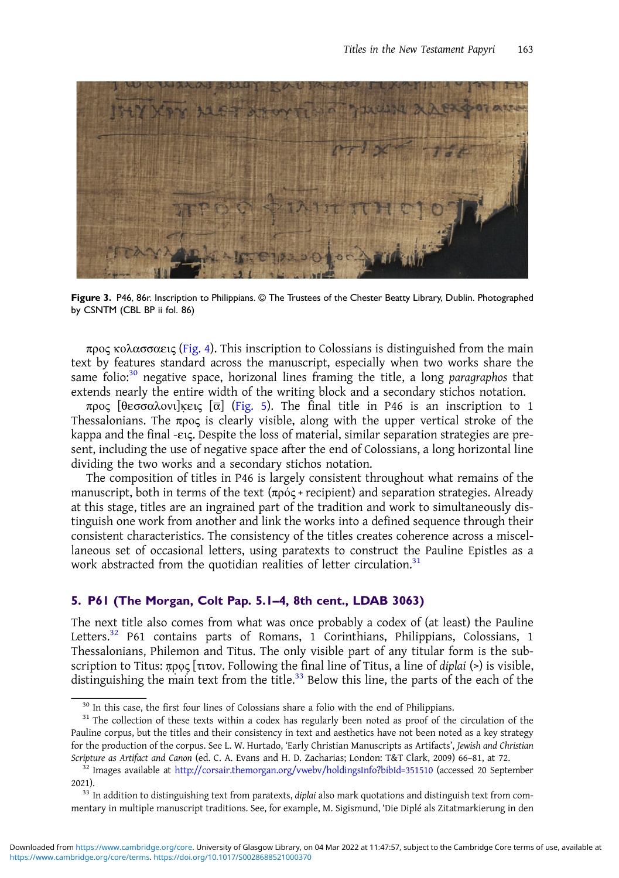<span id="page-7-0"></span>

Figure 3. P46, 86r. Inscription to Philippians. © The Trustees of the Chester Beatty Library, Dublin. Photographed by CSNTM (CBL BP ii fol. 86)

προς κολασσαεις ([Fig. 4\)](#page-8-0). This inscription to Colossians is distinguished from the main text by features standard across the manuscript, especially when two works share the same folio:<sup>30</sup> negative space, horizonal lines framing the title, a long paragraphos that extends nearly the entire width of the writing block and a secondary stichos notation.

προς [θεσσαλονι]κεις [ᾱ] ([Fig. 5\)](#page-8-0). The final title in P46 is an inscription to 1 Thessalonians. The  $\pi \rho o \varsigma$  is clearly visible, along with the upper vertical stroke of the kappa and the final -εις. Despite the loss of material, similar separation strategies are present, including the use of negative space after the end of Colossians, a long horizontal line dividing the two works and a secondary stichos notation.

The composition of titles in P46 is largely consistent throughout what remains of the manuscript, both in terms of the text  $(\pi \rho \acute{o} \varsigma + \text{recipient})$  and separation strategies. Already at this stage, titles are an ingrained part of the tradition and work to simultaneously distinguish one work from another and link the works into a defined sequence through their consistent characteristics. The consistency of the titles creates coherence across a miscellaneous set of occasional letters, using paratexts to construct the Pauline Epistles as a work abstracted from the quotidian realities of letter circulation.<sup>31</sup>

### 5. P61 (The Morgan, Colt Pap. 5.1–4, 8th cent., LDAB 3063)

The next title also comes from what was once probably a codex of (at least) the Pauline Letters.<sup>32</sup> P61 contains parts of Romans, 1 Corinthians, Philippians, Colossians, 1 Thessalonians, Philemon and Titus. The only visible part of any titular form is the subscription to Titus: προς [τιτον. Following the final line of Titus, a line of diplai (>) is visible, distinguishing the main text from the title. $33$  Below this line, the parts of the each of the

<sup>&</sup>lt;sup>30</sup> In this case, the first four lines of Colossians share a folio with the end of Philippians.<br><sup>31</sup> The collection of these texts within a codex has regularly been noted as proof of the circulation of the Pauline corpus, but the titles and their consistency in text and aesthetics have not been noted as a key strategy for the production of the corpus. See L. W. Hurtado, 'Early Christian Manuscripts as Artifacts', Jewish and Christian Scripture as Artifact and Canon (ed. C. A. Evans and H. D. Zacharias; London: T&T Clark, 2009) 66–81, at 72. <sup>32</sup> Images available at <http://corsair.themorgan.org/vwebv/holdingsInfo?bibId=351510> (accessed 20 September

<sup>2021). 33</sup> In addition to distinguishing text from paratexts, diplai also mark quotations and distinguish text from com-

mentary in multiple manuscript traditions. See, for example, M. Sigismund, 'Die Diplé als Zitatmarkierung in den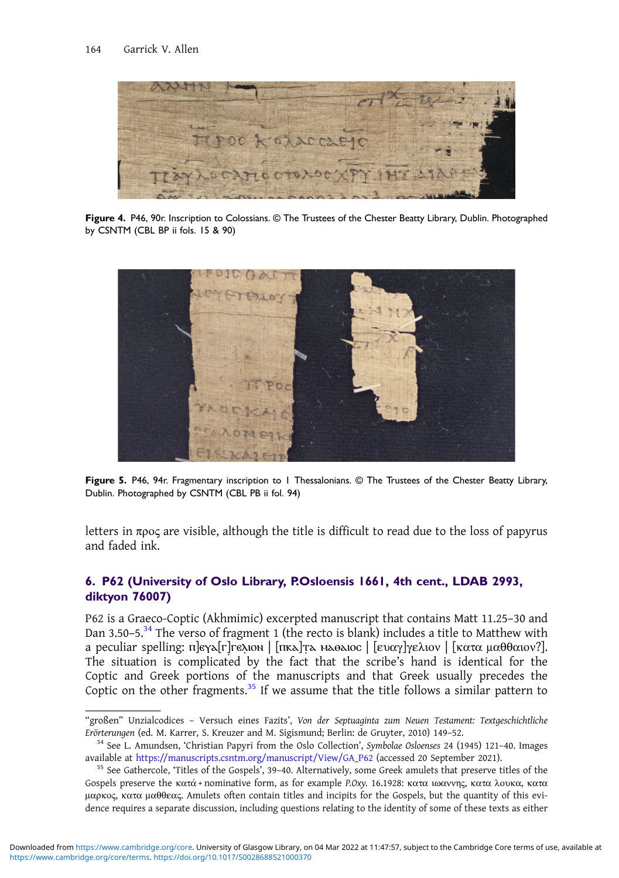<span id="page-8-0"></span>

Figure 4. P46, 90r. Inscription to Colossians. © The Trustees of the Chester Beatty Library, Dublin. Photographed by CSNTM (CBL BP ii fols. 15 & 90)



Figure 5. P46, 94r. Fragmentary inscription to 1 Thessalonians. © The Trustees of the Chester Beatty Library, Dublin. Photographed by CSNTM (CBL PB ii fol. 94)

letters in  $\pi \rho$  are visible, although the title is difficult to read due to the loss of papyrus and faded ink.

## 6. P62 (University of Oslo Library, P.Osloensis 1661, 4th cent., LDAB 2993, diktyon 76007)

P62 is a Graeco-Coptic (Akhmimic) excerpted manuscript that contains Matt 11.25–30 and Dan 3.50–5.<sup>34</sup> The verso of fragment 1 (the recto is blank) includes a title to Matthew with a peculiar spelling: π]εγε[Γ] Γελιον | [πκε] τε μερελιος | [ευαγ] γελιον | [κατα μαθθαιον?]. The situation is complicated by the fact that the scribe's hand is identical for the Coptic and Greek portions of the manuscripts and that Greek usually precedes the Coptic on the other fragments.<sup>35</sup> If we assume that the title follows a similar pattern to

<sup>&</sup>quot;großen" Unzialcodices – Versuch eines Fazits', Von der Septuaginta zum Neuen Testament: Textgeschichtliche Erörterungen (ed. M. Karrer, S. Kreuzer and M. Sigismund; Berlin: de Gruyter, 2010) 149–52.<br><sup>34</sup> See L. Amundsen, 'Christian Papyri from the Oslo Collection', Symbolae Osloenses 24 (1945) 121–40. Images

available at [https://manuscripts.csntm.org/manuscript/View/GA\\_P62](https://manuscripts.csntm.org/manuscript/View/GA_P62) (accessed 20 September 2021).<br><sup>35</sup> See Gathercole, 'Titles of the Gospels', 39–40. Alternatively, some Greek amulets that preserve titles of the

Gospels preserve the κατά + nominative form, as for example P.Oxy. 16.1928: κατα ιωαννης, κατα λουκα, κατα μαρκος, κατα μαθθεας. Amulets often contain titles and incipits for the Gospels, but the quantity of this evidence requires a separate discussion, including questions relating to the identity of some of these texts as either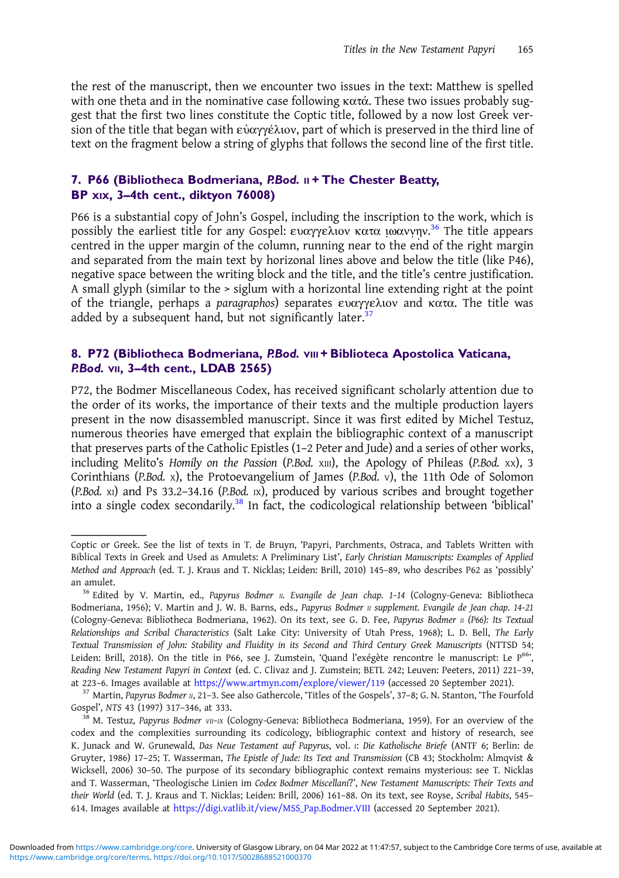the rest of the manuscript, then we encounter two issues in the text: Matthew is spelled with one theta and in the nominative case following κατά. These two issues probably suggest that the first two lines constitute the Coptic title, followed by a now lost Greek version of the title that began with εὐαγγέλιον, part of which is preserved in the third line of text on the fragment below a string of glyphs that follows the second line of the first title.

## 7. P66 (Bibliotheca Bodmeriana, P.Bod. II + The Chester Beatty, BP XIX, 3–4th cent., diktyon 76008)

P66 is a substantial copy of John's Gospel, including the inscription to the work, which is possibly the earliest title for any Gospel: ευαγγελιον κατα ιωαννην.<sup>36</sup> The title appears centred in the upper margin of the column, running near to the end of the right margin and separated from the main text by horizonal lines above and below the title (like P46), negative space between the writing block and the title, and the title's centre justification. A small glyph (similar to the > siglum with a horizontal line extending right at the point of the triangle, perhaps a paragraphos) separates ευαγγελιον and κατα. The title was added by a subsequent hand, but not significantly later.<sup>37</sup>

### 8. P72 (Bibliotheca Bodmeriana, P.Bod. vIII + Biblioteca Apostolica Vaticana, P.Bod. VII, 3–4th cent., LDAB 2565)

P72, the Bodmer Miscellaneous Codex, has received significant scholarly attention due to the order of its works, the importance of their texts and the multiple production layers present in the now disassembled manuscript. Since it was first edited by Michel Testuz, numerous theories have emerged that explain the bibliographic context of a manuscript that preserves parts of the Catholic Epistles (1–2 Peter and Jude) and a series of other works, including Melito's Homily on the Passion (P.Bod. xIII), the Apology of Phileas (P.Bod. xx), 3 Corinthians (P.Bod. X), the Protoevangelium of James (P.Bod. V), the 11th Ode of Solomon (P.Bod. XI) and Ps 33.2–34.16 (P.Bod. IX), produced by various scribes and brought together into a single codex secondarily.<sup>38</sup> In fact, the codicological relationship between 'biblical'

Coptic or Greek. See the list of texts in T. de Bruyn, 'Papyri, Parchments, Ostraca, and Tablets Written with Biblical Texts in Greek and Used as Amulets: A Preliminary List', Early Christian Manuscripts: Examples of Applied Method and Approach (ed. T. J. Kraus and T. Nicklas; Leiden: Brill, 2010) 145–89, who describes P62 as 'possibly' an amulet.<br><sup>36</sup> Edited by V. Martin, ed., Papyrus Bodmer II. Evangile de Jean chap. 1-14 (Cologny-Geneva: Bibliotheca

Bodmeriana, 1956); V. Martin and J. W. B. Barns, eds., Papyrus Bodmer II supplement. Evangile de Jean chap. 14-21 (Cologny-Geneva: Bibliotheca Bodmeriana, 1962). On its text, see G. D. Fee, Papyrus Bodmer II (P66): Its Textual Relationships and Scribal Characteristics (Salt Lake City: University of Utah Press, 1968); L. D. Bell, The Early Textual Transmission of John: Stability and Fluidity in its Second and Third Century Greek Manuscripts (NTTSD 54; Leiden: Brill, 2018). On the title in P66, see J. Zumstein, 'Quand l'exégète rencontre le manuscript: Le P66', Reading New Testament Papyri in Context (ed. C. Clivaz and J. Zumstein; BETL 242; Leuven: Peeters, 2011) 221–39,

at 223–6. Images available at <https://www.artmyn.com/explore/viewer/119> (accessed 20 September 2021).<br><sup>37</sup> Martin, Papyrus Bodmer 11, 21–3. See also Gathercole, 'Titles of the Gospels', 37–8; G. N. Stanton, 'The Fourfold Gospel', NTS 43 (1997) 317–346, at 333.<br><sup>38</sup> M. Testuz, Papyrus Bodmer *vII–IX* (Cologny-Geneva: Bibliotheca Bodmeriana, 1959). For an overview of the

codex and the complexities surrounding its codicology, bibliographic context and history of research, see K. Junack and W. Grunewald, Das Neue Testament auf Papyrus, vol. I: Die Katholische Briefe (ANTF 6; Berlin: de Gruyter, 1986) 17–25; T. Wasserman, The Epistle of Jude: Its Text and Transmission (CB 43; Stockholm: Almqvist & Wicksell, 2006) 30–50. The purpose of its secondary bibliographic context remains mysterious: see T. Nicklas and T. Wasserman, 'Theologische Linien im Codex Bodmer Miscellani?', New Testament Manuscripts: Their Texts and their World (ed. T. J. Kraus and T. Nicklas; Leiden: Brill, 2006) 161–88. On its text, see Royse, Scribal Habits, 545– 614. Images available at [https://digi.vatlib.it/view/MSS\\_Pap.Bodmer.VIII](https://digi.vatlib.it/view/MSS_Pap.Bodmer.VIII) (accessed 20 September 2021).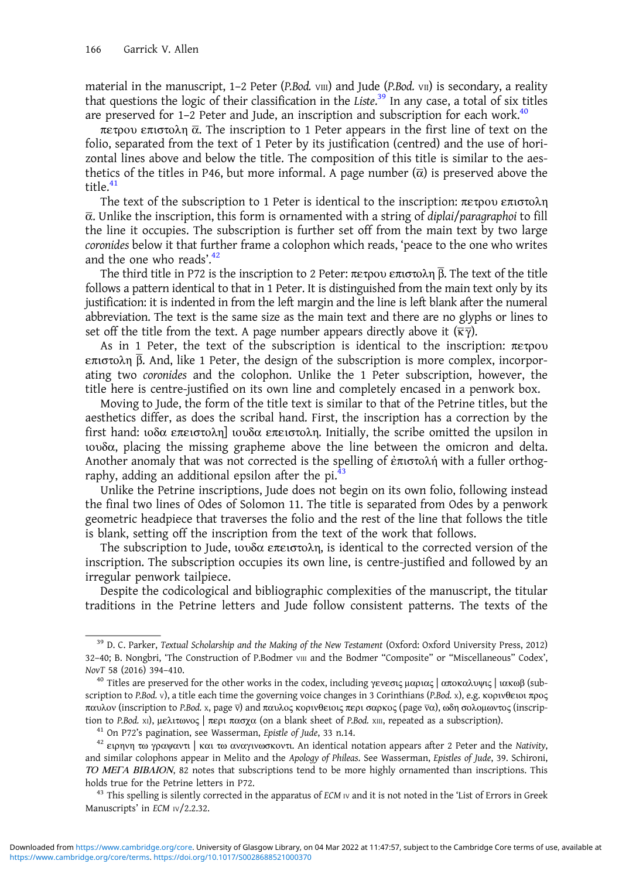material in the manuscript,  $1-2$  Peter (P.Bod. vIII) and Jude (P.Bod. vII) is secondary, a reality that questions the logic of their classification in the Liste.<sup>39</sup> In any case, a total of six titles are preserved for  $1-2$  Peter and Jude, an inscription and subscription for each work.<sup>40</sup>

πετρου επιστολη  $\bar{\alpha}$ . The inscription to 1 Peter appears in the first line of text on the folio, separated from the text of 1 Peter by its justification (centred) and the use of horizontal lines above and below the title. The composition of this title is similar to the aesthetics of the titles in P46, but more informal. A page number  $(\bar{\alpha})$  is preserved above the title.<sup>41</sup>

The text of the subscription to 1 Peter is identical to the inscription: πετρου επιστολη  $\bar{\alpha}$ . Unlike the inscription, this form is ornamented with a string of diplai/paragraphoi to fill the line it occupies. The subscription is further set off from the main text by two large coronides below it that further frame a colophon which reads, 'peace to the one who writes and the one who reads'.<sup>42</sup>

The third title in P72 is the inscription to 2 Peter: πετρου επιστολη β. The text of the title follows a pattern identical to that in 1 Peter. It is distinguished from the main text only by its justification: it is indented in from the left margin and the line is left blank after the numeral abbreviation. The text is the same size as the main text and there are no glyphs or lines to set off the title from the text. A page number appears directly above it  $(\overline{\kappa}\overline{\gamma})$ .

As in 1 Peter, the text of the subscription is identical to the inscription: πετρου επιστολη β And, like 1 Peter, the design of the subscription is more complex, incorporating two coronides and the colophon. Unlike the 1 Peter subscription, however, the title here is centre-justified on its own line and completely encased in a penwork box.

Moving to Jude, the form of the title text is similar to that of the Petrine titles, but the aesthetics differ, as does the scribal hand. First, the inscription has a correction by the first hand: ιοδα επειστολη] ιουδα επειστολη. Initially, the scribe omitted the upsilon in ιουδα, placing the missing grapheme above the line between the omicron and delta. Another anomaly that was not corrected is the spelling of ἐπιστολή with a fuller orthography, adding an additional epsilon after the pi.<sup>43</sup>

Unlike the Petrine inscriptions, Jude does not begin on its own folio, following instead the final two lines of Odes of Solomon 11. The title is separated from Odes by a penwork geometric headpiece that traverses the folio and the rest of the line that follows the title is blank, setting off the inscription from the text of the work that follows.

The subscription to Jude, ιουδα επειστολη, is identical to the corrected version of the inscription. The subscription occupies its own line, is centre-justified and followed by an irregular penwork tailpiece.

Despite the codicological and bibliographic complexities of the manuscript, the titular traditions in the Petrine letters and Jude follow consistent patterns. The texts of the

<sup>&</sup>lt;sup>39</sup> D. C. Parker, Textual Scholarship and the Making of the New Testament (Oxford: Oxford University Press, 2012) 32-40; B. Nongbri, 'The Construction of P.Bodmer vIII and the Bodmer "Composite" or "Miscellaneous" Codex', NovT 58 (2016) 394–410.<br><sup>40</sup> Titles are preserved for the other works in the codex, including γενεσις μαριας | αποκαλυψις | ιακωβ (sub-

scription to P.Bod. V), a title each time the governing voice changes in 3 Corinthians (P.Bod. X), e.g. κορινθειοι προς παυλον (inscription to P.Bod. x, page  $\overline{v}$ ) and παυλος κορινθειοις περι σαρκος (page  $\overline{v}$ α), ωδη σολομωντος (inscription to P.Bod. xi), μελιτωνος | περι πασχα (on a blank sheet of P.Bod. xii, repeated as a subscr

<sup>&</sup>lt;sup>41</sup> On P72's pagination, see Wasserman, *Epistle of Jude*, 33 n.14.<br><sup>42</sup> ειρηνη τω γραψαντι | και τω αναγινωσκοντι. An identical notation appears after 2 Peter and the Nativity, and similar colophons appear in Melito and the Apology of Phileas. See Wasserman, Epistles of Jude, 39. Schironi, ΤΟ ΜΕΓΑ ΒΙΒΛΙΟΝ, 82 notes that subscriptions tend to be more highly ornamented than inscriptions. This holds true for the Petrine letters in P72.<br><sup>43</sup> This spelling is silently corrected in the apparatus of *ECM* IV and it is not noted in the 'List of Errors in Greek

Manuscripts' in ECM IV/2.2.32.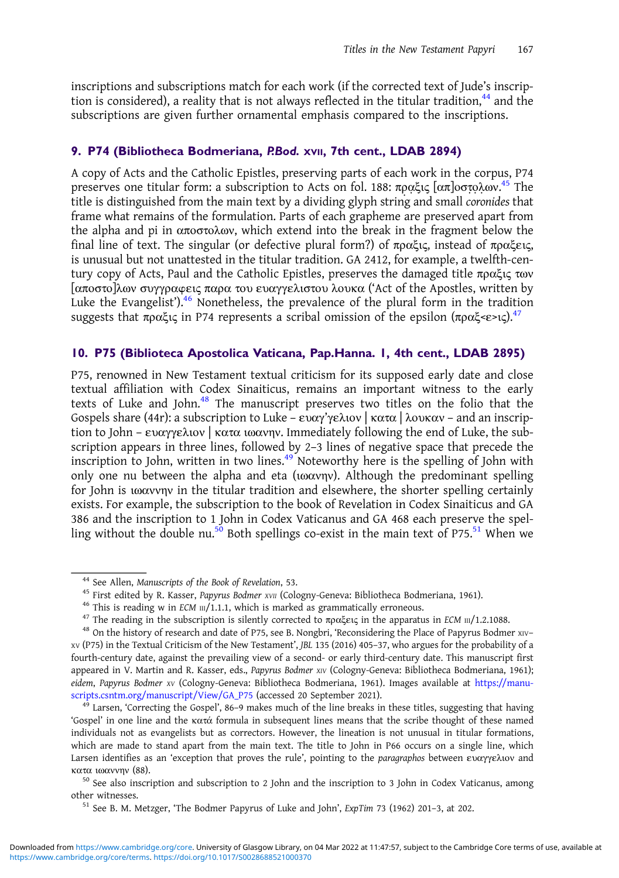inscriptions and subscriptions match for each work (if the corrected text of Jude's inscription is considered), a reality that is not always reflected in the titular tradition, $^{44}$  and the subscriptions are given further ornamental emphasis compared to the inscriptions.

## 9. P74 (Bibliotheca Bodmeriana, P.Bod. XVII, 7th cent., LDAB 2894)

A copy of Acts and the Catholic Epistles, preserving parts of each work in the corpus, P74 preserves one titular form: a subscription to Acts on fol. 188: πραξις [απ]οστολων.<sup>45</sup> The title is distinguished from the main text by a dividing glyph string and small coronides that frame what remains of the formulation. Parts of each grapheme are preserved apart from the alpha and pi in αποστολων, which extend into the break in the fragment below the final line of text. The singular (or defective plural form?) of πραξις, instead of πραξεις, is unusual but not unattested in the titular tradition. GA 2412, for example, a twelfth-century copy of Acts, Paul and the Catholic Epistles, preserves the damaged title πραξις των [αποστο]λων συγγραwεις παρα του ευαγγελιστου λουκα ('Act of the Apostles, written by Luke the Evangelist').<sup>46</sup> Nonetheless, the prevalence of the plural form in the tradition suggests that πραξις in P74 represents a scribal omission of the epsilon  $(\pi \rho \alpha \xi \ll 1)$ ,  $^{47}$ 

#### 10. P75 (Biblioteca Apostolica Vaticana, Pap.Hanna. 1, 4th cent., LDAB 2895)

P75, renowned in New Testament textual criticism for its supposed early date and close textual affiliation with Codex Sinaiticus, remains an important witness to the early texts of Luke and John.<sup>48</sup> The manuscript preserves two titles on the folio that the Gospels share (44r): a subscription to Luke – ευαγ'γελιον | κατα | λουκαν – and an inscription to John – ευαγγελιον | κατα ιωανην. Immediately following the end of Luke, the subscription appears in three lines, followed by 2–3 lines of negative space that precede the inscription to John, written in two lines.<sup>49</sup> Noteworthy here is the spelling of John with only one nu between the alpha and eta (ιωανην). Although the predominant spelling for John is ιωαννην in the titular tradition and elsewhere, the shorter spelling certainly exists. For example, the subscription to the book of Revelation in Codex Sinaiticus and GA 386 and the inscription to 1 John in Codex Vaticanus and GA 468 each preserve the spelling without the double nu.<sup>50</sup> Both spellings co-exist in the main text of P75.<sup>51</sup> When we

<sup>&</sup>lt;sup>44</sup> See Allen, *Manuscripts of the Book of Revelation*, 53.<br><sup>45</sup> First edited by R. Kasser, *Papyrus Bodmer xv*<sub>*II*</sub> (Cologny-Geneva: Bibliotheca Bodmeriana, 1961).<br><sup>46</sup> This is reading w in *ECM*  $\text{III}/1.1.1$ , which is

XV (P75) in the Textual Criticism of the New Testament', JBL 135 (2016) 405–37, who argues for the probability of a fourth-century date, against the prevailing view of a second- or early third-century date. This manuscript first appeared in V. Martin and R. Kasser, eds., Papyrus Bodmer xIV (Cologny-Geneva: Bibliotheca Bodmeriana, 1961); eidem, Papyrus Bodmer xv (Cologny-Geneva: Bibliotheca Bodmeriana, 1961). Images available at [https://manu](https://manuscripts.csntm.org/manuscript/View/GA_P75)[scripts.csntm.org/manuscript/View/GA\\_P75](https://manuscripts.csntm.org/manuscript/View/GA_P75) (accessed 20 September 2021).<br><sup>49</sup> Larsen, 'Correcting the Gospel', 86–9 makes much of the line breaks in these titles, suggesting that having

<sup>&#</sup>x27;Gospel' in one line and the κατά formula in subsequent lines means that the scribe thought of these named individuals not as evangelists but as correctors. However, the lineation is not unusual in titular formations, which are made to stand apart from the main text. The title to John in P66 occurs on a single line, which Larsen identifies as an 'exception that proves the rule', pointing to the paragraphos between ευαγγελιον and

κατα ιωαννην (88).<br><sup>50</sup> See also inscription and subscription to 2 John and the inscription to 3 John in Codex Vaticanus, among<br>other witnesses.

 $51$  See B. M. Metzger, 'The Bodmer Papyrus of Luke and John', ExpTim 73 (1962) 201-3, at 202.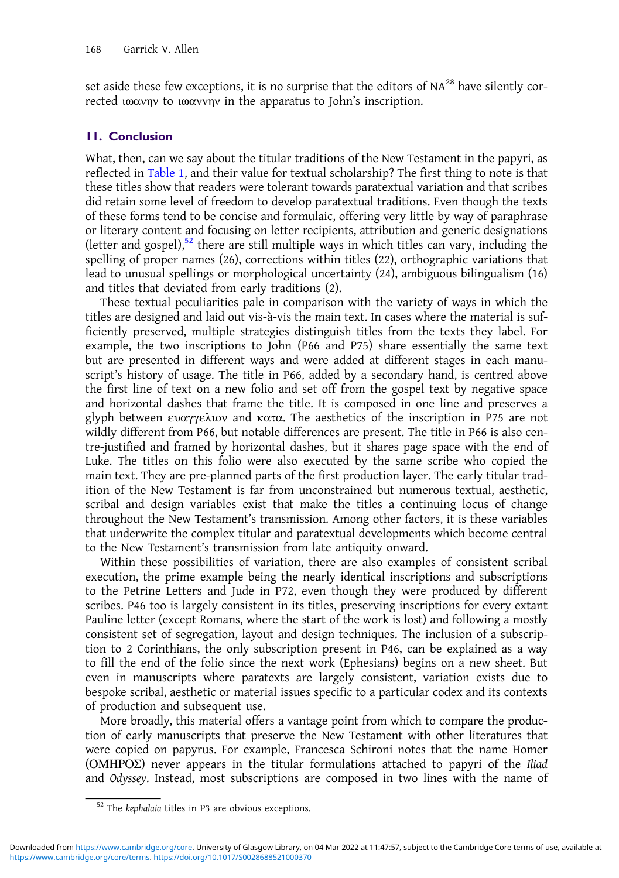set aside these few exceptions, it is no surprise that the editors of  $NA^{28}$  have silently corrected ιωανην to ιωαννην in the apparatus to John's inscription.

#### 11. Conclusion

What, then, can we say about the titular traditions of the New Testament in the papyri, as reflected in [Table 1,](#page-13-0) and their value for textual scholarship? The first thing to note is that these titles show that readers were tolerant towards paratextual variation and that scribes did retain some level of freedom to develop paratextual traditions. Even though the texts of these forms tend to be concise and formulaic, offering very little by way of paraphrase or literary content and focusing on letter recipients, attribution and generic designations (letter and gospel), $52$  there are still multiple ways in which titles can vary, including the spelling of proper names (26), corrections within titles (22), orthographic variations that lead to unusual spellings or morphological uncertainty (24), ambiguous bilingualism (16) and titles that deviated from early traditions (2).

These textual peculiarities pale in comparison with the variety of ways in which the titles are designed and laid out vis-à-vis the main text. In cases where the material is sufficiently preserved, multiple strategies distinguish titles from the texts they label. For example, the two inscriptions to John (P66 and P75) share essentially the same text but are presented in different ways and were added at different stages in each manuscript's history of usage. The title in P66, added by a secondary hand, is centred above the first line of text on a new folio and set off from the gospel text by negative space and horizontal dashes that frame the title. It is composed in one line and preserves a glyph between ευαγγελιον and κατα. The aesthetics of the inscription in P75 are not wildly different from P66, but notable differences are present. The title in P66 is also centre-justified and framed by horizontal dashes, but it shares page space with the end of Luke. The titles on this folio were also executed by the same scribe who copied the main text. They are pre-planned parts of the first production layer. The early titular tradition of the New Testament is far from unconstrained but numerous textual, aesthetic, scribal and design variables exist that make the titles a continuing locus of change throughout the New Testament's transmission. Among other factors, it is these variables that underwrite the complex titular and paratextual developments which become central to the New Testament's transmission from late antiquity onward.

Within these possibilities of variation, there are also examples of consistent scribal execution, the prime example being the nearly identical inscriptions and subscriptions to the Petrine Letters and Jude in P72, even though they were produced by different scribes. P46 too is largely consistent in its titles, preserving inscriptions for every extant Pauline letter (except Romans, where the start of the work is lost) and following a mostly consistent set of segregation, layout and design techniques. The inclusion of a subscription to 2 Corinthians, the only subscription present in P46, can be explained as a way to fill the end of the folio since the next work (Ephesians) begins on a new sheet. But even in manuscripts where paratexts are largely consistent, variation exists due to bespoke scribal, aesthetic or material issues specific to a particular codex and its contexts of production and subsequent use.

More broadly, this material offers a vantage point from which to compare the production of early manuscripts that preserve the New Testament with other literatures that were copied on papyrus. For example, Francesca Schironi notes that the name Homer ( $OMHPO\Sigma$ ) never appears in the titular formulations attached to papyri of the Iliad and Odyssey. Instead, most subscriptions are composed in two lines with the name of

<sup>52</sup> The kephalaia titles in P3 are obvious exceptions.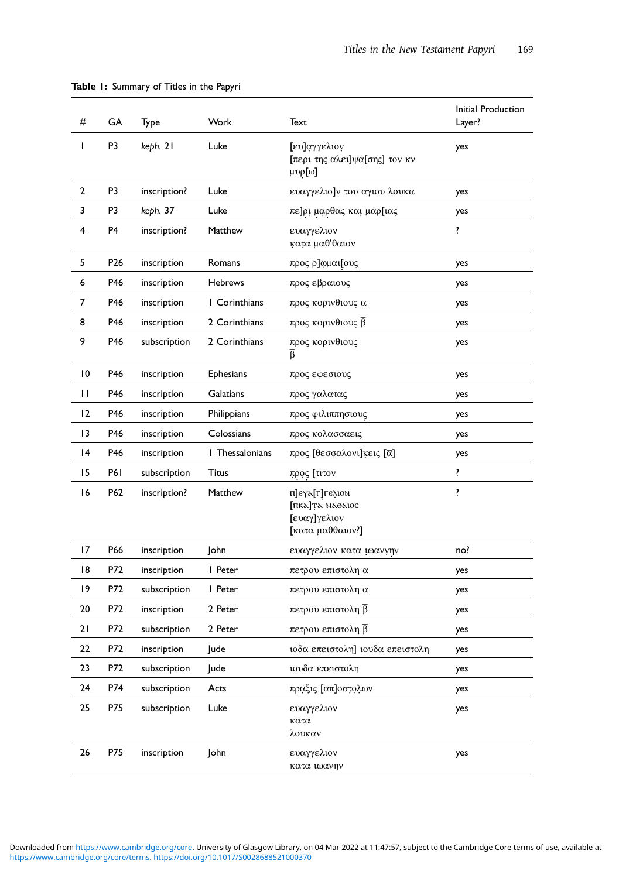<span id="page-13-0"></span>

| Table 1: Summary of Titles in the Papyri |    |              |      |                                                                     |                              |  |  |  |
|------------------------------------------|----|--------------|------|---------------------------------------------------------------------|------------------------------|--|--|--|
| #                                        | GA | Type         | Work | Text                                                                | Initial Production<br>Layer? |  |  |  |
|                                          | P3 | keph. 21     | Luke | [ευ]αγγελιον<br>[περι της αλει]ψα[σης] τον <del>κ</del> ν<br>μυρ[ω] | yes                          |  |  |  |
| $\overline{2}$                           | P3 | inscription? | Luke | ευαγγελιο]ν του αγιου λουκα                                         | yes                          |  |  |  |
| 3                                        | P3 | keph. 37     | Luke | πε]ρι μαρθας και μαρ[ιας                                            | yes                          |  |  |  |
|                                          |    |              |      |                                                                     |                              |  |  |  |

| T               | P <sub>3</sub>  | keph. 21     | Luke             | [ευ]αγγελιον<br>[περι της αλει]ψα[σης] τον κν<br>μυρ[ω]              | yes |
|-----------------|-----------------|--------------|------------------|----------------------------------------------------------------------|-----|
| $\overline{2}$  | P3              | inscription? | Luke             | ευαγγελιο]ν του αγιου λουκα                                          | yes |
| 3               | P3              | keph. 37     | Luke             | πε]ρι μαρθας και μαρ[ιας                                             | yes |
| 4               | P <sub>4</sub>  | inscription? | Matthew          | ευαγγελιον<br>κατα μαθ'θαιον                                         | ï   |
| 5               | P <sub>26</sub> | inscription  | Romans           | προς ρ]ωμαι[ους                                                      | yes |
| 6               | P46             | inscription  | <b>Hebrews</b>   | προς εβραιους                                                        | yes |
| 7               | P46             | inscription  | I Corinthians    | προς κορινθιους α                                                    | yes |
| 8               | P46             | inscription  | 2 Corinthians    | προς κορινθιους β                                                    | yes |
| 9               | P46             | subscription | 2 Corinthians    | προς κορινθιους<br>β                                                 | yes |
| 10              | P46             | inscription  | <b>Ephesians</b> | προς εφεσιους                                                        | yes |
| $\mathbf{H}$    | P46             | inscription  | Galatians        | προς γαλατας                                                         | yes |
| 12              | P46             | inscription  | Philippians      | προς φιλιππησιους                                                    | yes |
| $\overline{13}$ | P46             | inscription  | Colossians       | προς κολασσαεις                                                      | yes |
| 4               | P46             | inscription  | I Thessalonians  | προς [θεσσαλονι]κεις [α]                                             | yes |
| 15              | <b>P61</b>      | subscription | Titus            | προς [τιτον                                                          | ï   |
| 16              | P62             | inscription? | Matthew          | π]εγλ[г]гελιον<br>[пка]та наоаюс<br>[ευαγ]γελιον<br>[κατα μαθθαιον?] | ï   |
| 17              | P66             | inscription  | John             | ευαγγελιον κατα ιωαννην                                              | no? |
| 18              | P72             | inscription  | I Peter          | πετρου επιστολη α                                                    | yes |
| 19              | P72             | subscription | I Peter          | πετρου επιστολη α                                                    | yes |
| 20              | P72             | inscription  | 2 Peter          | πετρου επιστολη β                                                    | yes |
| 21              | P72             | subscription | 2 Peter          | πετρου επιστολη β                                                    | yes |
| 22              | P72             | inscription  | Jude             | ιοδα επειστολη] ιουδα επειστολη                                      | yes |
| 23              | P72             | subscription | Jude             | ιουδα επειστολη                                                      | yes |
| 24              | P74             | subscription | Acts             | πραξις [απ]οστολων                                                   | yes |
| 25              | P75             | subscription | Luke             | ευαγγελιον<br>κατα<br>λουκαν                                         | yes |
| 26              | P75             | inscription  | John             | ευαγγελιον<br>κατα ιωανην                                            | yes |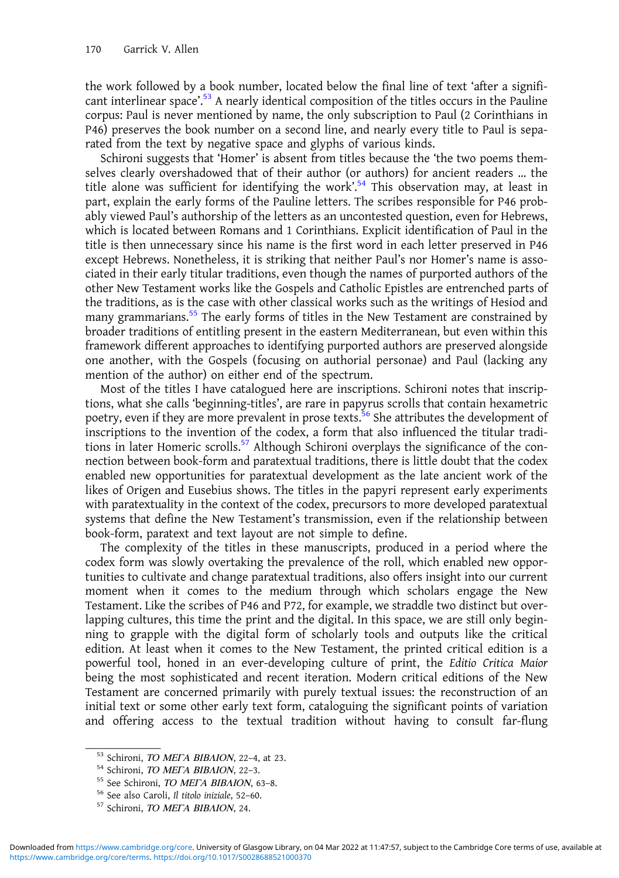the work followed by a book number, located below the final line of text 'after a significant interlinear space'.<sup>53</sup> A nearly identical composition of the titles occurs in the Pauline corpus: Paul is never mentioned by name, the only subscription to Paul (2 Corinthians in P46) preserves the book number on a second line, and nearly every title to Paul is separated from the text by negative space and glyphs of various kinds.

Schironi suggests that 'Homer' is absent from titles because the 'the two poems themselves clearly overshadowed that of their author (or authors) for ancient readers … the title alone was sufficient for identifying the work'. <sup>54</sup> This observation may, at least in part, explain the early forms of the Pauline letters. The scribes responsible for P46 probably viewed Paul's authorship of the letters as an uncontested question, even for Hebrews, which is located between Romans and 1 Corinthians. Explicit identification of Paul in the title is then unnecessary since his name is the first word in each letter preserved in P46 except Hebrews. Nonetheless, it is striking that neither Paul's nor Homer's name is associated in their early titular traditions, even though the names of purported authors of the other New Testament works like the Gospels and Catholic Epistles are entrenched parts of the traditions, as is the case with other classical works such as the writings of Hesiod and many grammarians.<sup>55</sup> The early forms of titles in the New Testament are constrained by broader traditions of entitling present in the eastern Mediterranean, but even within this framework different approaches to identifying purported authors are preserved alongside one another, with the Gospels (focusing on authorial personae) and Paul (lacking any mention of the author) on either end of the spectrum.

Most of the titles I have catalogued here are inscriptions. Schironi notes that inscriptions, what she calls 'beginning-titles', are rare in papyrus scrolls that contain hexametric poetry, even if they are more prevalent in prose texts.<sup>56</sup> She attributes the development of inscriptions to the invention of the codex, a form that also influenced the titular traditions in later Homeric scrolls.<sup>57</sup> Although Schironi overplays the significance of the connection between book-form and paratextual traditions, there is little doubt that the codex enabled new opportunities for paratextual development as the late ancient work of the likes of Origen and Eusebius shows. The titles in the papyri represent early experiments with paratextuality in the context of the codex, precursors to more developed paratextual systems that define the New Testament's transmission, even if the relationship between book-form, paratext and text layout are not simple to define.

The complexity of the titles in these manuscripts, produced in a period where the codex form was slowly overtaking the prevalence of the roll, which enabled new opportunities to cultivate and change paratextual traditions, also offers insight into our current moment when it comes to the medium through which scholars engage the New Testament. Like the scribes of P46 and P72, for example, we straddle two distinct but overlapping cultures, this time the print and the digital. In this space, we are still only beginning to grapple with the digital form of scholarly tools and outputs like the critical edition. At least when it comes to the New Testament, the printed critical edition is a powerful tool, honed in an ever-developing culture of print, the Editio Critica Maior being the most sophisticated and recent iteration. Modern critical editions of the New Testament are concerned primarily with purely textual issues: the reconstruction of an initial text or some other early text form, cataloguing the significant points of variation and offering access to the textual tradition without having to consult far-flung

<sup>&</sup>lt;sup>53</sup> Schironi, *ΤΟ ΜΕΓΑ ΒΙΒΛΙΟΝ*, 22–4, at 23.<br><sup>54</sup> Schironi, *ΤΟ ΜΕΓΑ ΒΙΒΛΙΟΝ*, 22–3.<br><sup>55</sup> See Schironi, *ΤΟ ΜΕΓΑ ΒΙΒΛΙΟΝ*, 63–8.<br><sup>56</sup> See also Caroli, *Il titolo iniziale*, 52–60.<br><sup>57</sup> Schironi, *ΤΟ ΜΕΓΑ ΒΙΒΛΙΟΝ*, 24.